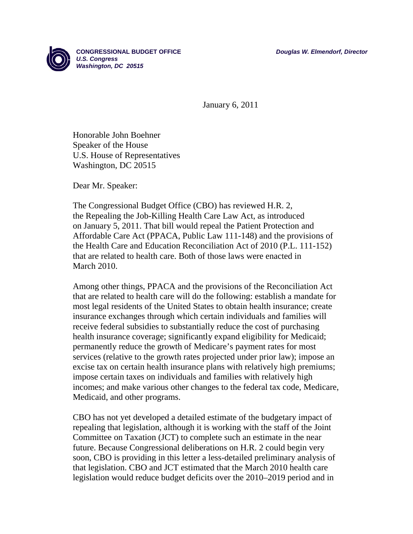

**CONGRESSIONAL BUDGET OFFICE** *Douglas W. Elmendorf, Director U.S. Congress Washington, DC 20515* 

January 6, 2011

Honorable John Boehner Speaker of the House U.S. House of Representatives Washington, DC 20515

Dear Mr. Speaker:

The Congressional Budget Office (CBO) has reviewed H.R. 2, the Repealing the Job-Killing Health Care Law Act, as introduced on January 5, 2011. That bill would repeal the Patient Protection and Affordable Care Act (PPACA, Public Law 111-148) and the provisions of the Health Care and Education Reconciliation Act of 2010 (P.L. 111-152) that are related to health care. Both of those laws were enacted in March 2010.

Among other things, PPACA and the provisions of the Reconciliation Act that are related to health care will do the following: establish a mandate for most legal residents of the United States to obtain health insurance; create insurance exchanges through which certain individuals and families will receive federal subsidies to substantially reduce the cost of purchasing health insurance coverage; significantly expand eligibility for Medicaid; permanently reduce the growth of Medicare's payment rates for most services (relative to the growth rates projected under prior law); impose an excise tax on certain health insurance plans with relatively high premiums; impose certain taxes on individuals and families with relatively high incomes; and make various other changes to the federal tax code, Medicare, Medicaid, and other programs.

CBO has not yet developed a detailed estimate of the budgetary impact of repealing that legislation, although it is working with the staff of the Joint Committee on Taxation (JCT) to complete such an estimate in the near future. Because Congressional deliberations on H.R. 2 could begin very soon, CBO is providing in this letter a less-detailed preliminary analysis of that legislation. CBO and JCT estimated that the March 2010 health care legislation would reduce budget deficits over the 2010–2019 period and in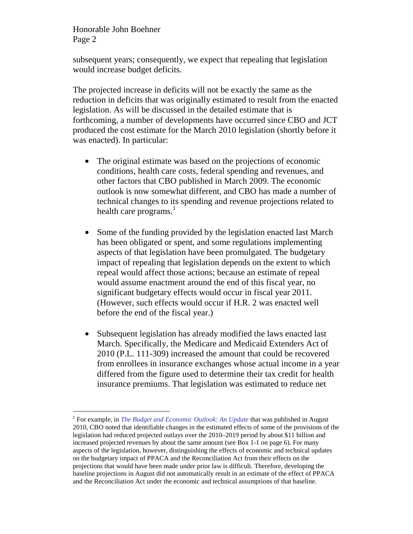-

subsequent years; consequently, we expect that repealing that legislation would increase budget deficits.

The projected increase in deficits will not be exactly the same as the reduction in deficits that was originally estimated to result from the enacted legislation. As will be discussed in the detailed estimate that is forthcoming, a number of developments have occurred since CBO and JCT produced the cost estimate for the March 2010 legislation (shortly before it was enacted). In particular:

- The original estimate was based on the projections of economic conditions, health care costs, federal spending and revenues, and other factors that CBO published in March 2009. The economic outlook is now somewhat different, and CBO has made a number of technical changes to its spending and revenue projections related to health care programs. $<sup>1</sup>$ </sup>
- Some of the funding provided by the legislation enacted last March has been obligated or spent, and some regulations implementing aspects of that legislation have been promulgated. The budgetary impact of repealing that legislation depends on the extent to which repeal would affect those actions; because an estimate of repeal would assume enactment around the end of this fiscal year, no significant budgetary effects would occur in fiscal year 2011. (However, such effects would occur if H.R. 2 was enacted well before the end of the fiscal year.)
- Subsequent legislation has already modified the laws enacted last March. Specifically, the Medicare and Medicaid Extenders Act of 2010 (P.L. 111-309) increased the amount that could be recovered from enrollees in insurance exchanges whose actual income in a year differed from the figure used to determine their tax credit for health insurance premiums. That legislation was estimated to reduce net

<sup>&</sup>lt;sup>1</sup> For example, in *The Budget and Economic Outlook: An Update* that was published in August 2010, CBO noted that identifiable changes in the estimated effects of some of the provisions of the legislation had reduced projected outlays over the 2010–2019 period by about \$11 billion and increased projected revenues by about the same amount (see Box 1-1 on page 6). For many aspects of the legislation, however, distinguishing the effects of economic and technical updates on the budgetary impact of PPACA and the Reconciliation Act from their effects on the projections that would have been made under prior law is difficult. Therefore, developing the baseline projections in August did not automatically result in an estimate of the effect of PPACA and the Reconciliation Act under the economic and technical assumptions of that baseline.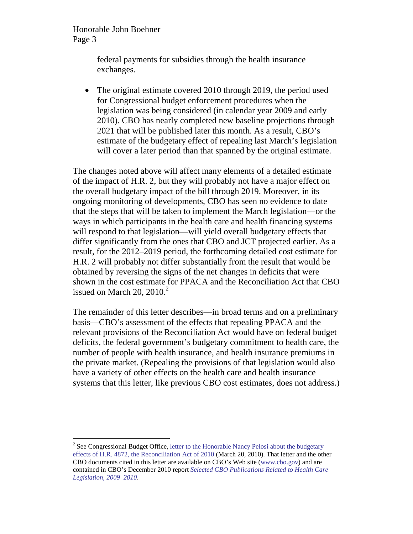> federal payments for subsidies through the health insurance exchanges.

• The original estimate covered 2010 through 2019, the period used for Congressional budget enforcement procedures when the legislation was being considered (in calendar year 2009 and early 2010). CBO has nearly completed new baseline projections through 2021 that will be published later this month. As a result, CBO's estimate of the budgetary effect of repealing last March's legislation will cover a later period than that spanned by the original estimate.

The changes noted above will affect many elements of a detailed estimate of the impact of H.R. 2, but they will probably not have a major effect on the overall budgetary impact of the bill through 2019. Moreover, in its ongoing monitoring of developments, CBO has seen no evidence to date that the steps that will be taken to implement the March legislation—or the ways in which participants in the health care and health financing systems will respond to that legislation—will yield overall budgetary effects that differ significantly from the ones that CBO and JCT projected earlier. As a result, for the 2012–2019 period, the forthcoming detailed cost estimate for H.R. 2 will probably not differ substantially from the result that would be obtained by reversing the signs of the net changes in deficits that were shown in the cost estimate for PPACA and the Reconciliation Act that CBO issued on March 20,  $2010<sup>2</sup>$ 

The remainder of this letter describes—in broad terms and on a preliminary basis—CBO's assessment of the effects that repealing PPACA and the relevant provisions of the Reconciliation Act would have on federal budget deficits, the federal government's budgetary commitment to health care, the number of people with health insurance, and health insurance premiums in the private market. (Repealing the provisions of that legislation would also have a variety of other effects on the health care and health insurance systems that this letter, like previous CBO cost estimates, does not address.)

<sup>&</sup>lt;sup>2</sup> See Congressional Budget Office, letter to the Honorable Nancy Pelosi about the budgetary effects of H.R. 4872, the Reconciliation Act of 2010 (March 20, 2010). That letter and the other CBO documents cited in this letter are available on CBO's Web site (www.cbo.gov) and are contained in CBO's December 2010 report *Selected CBO Publications Related to Health Care Legislation, 2009–2010*.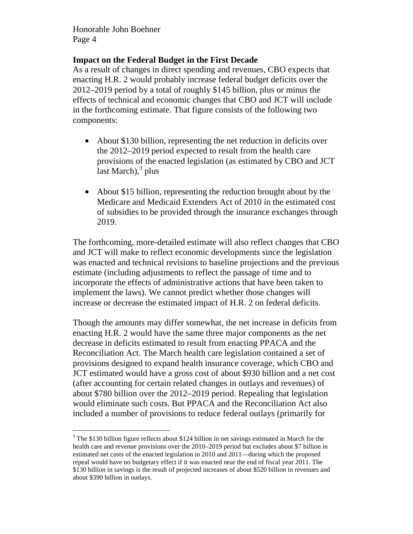# **Impact on the Federal Budget in the First Decade**

As a result of changes in direct spending and revenues, CBO expects that enacting H.R. 2 would probably increase federal budget deficits over the 2012–2019 period by a total of roughly \$145 billion, plus or minus the effects of technical and economic changes that CBO and JCT will include in the forthcoming estimate. That figure consists of the following two components:

- About \$130 billion, representing the net reduction in deficits over the 2012–2019 period expected to result from the health care provisions of the enacted legislation (as estimated by CBO and JCT last March),<sup>3</sup> plus
- About \$15 billion, representing the reduction brought about by the Medicare and Medicaid Extenders Act of 2010 in the estimated cost of subsidies to be provided through the insurance exchanges through 2019.

The forthcoming, more-detailed estimate will also reflect changes that CBO and JCT will make to reflect economic developments since the legislation was enacted and technical revisions to baseline projections and the previous estimate (including adjustments to reflect the passage of time and to incorporate the effects of administrative actions that have been taken to implement the laws). We cannot predict whether those changes will increase or decrease the estimated impact of H.R. 2 on federal deficits.

Though the amounts may differ somewhat, the net increase in deficits from enacting H.R. 2 would have the same three major components as the net decrease in deficits estimated to result from enacting PPACA and the Reconciliation Act. The March health care legislation contained a set of provisions designed to expand health insurance coverage, which CBO and JCT estimated would have a gross cost of about \$930 billion and a net cost (after accounting for certain related changes in outlays and revenues) of about \$780 billion over the 2012–2019 period. Repealing that legislation would eliminate such costs. But PPACA and the Reconciliation Act also included a number of provisions to reduce federal outlays (primarily for

 $\overline{a}$  $3$  The \$130 billion figure reflects about \$124 billion in net savings estimated in March for the health care and revenue provisions over the 2010–2019 period but excludes about \$7 billion in estimated net costs of the enacted legislation in 2010 and 2011—during which the proposed repeal would have no budgetary effect if it was enacted near the end of fiscal year 2011. The \$130 billion in savings is the result of projected increases of about \$520 billion in revenues and about \$390 billion in outlays.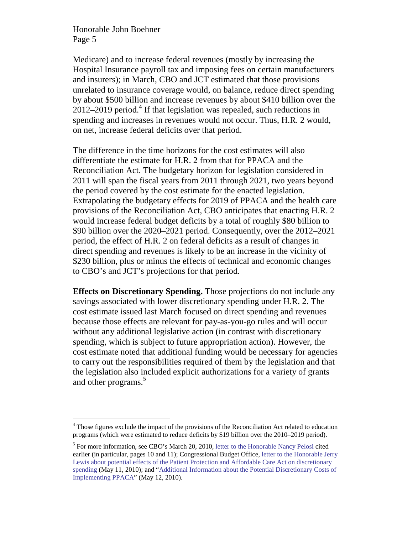Medicare) and to increase federal revenues (mostly by increasing the Hospital Insurance payroll tax and imposing fees on certain manufacturers and insurers); in March, CBO and JCT estimated that those provisions unrelated to insurance coverage would, on balance, reduce direct spending by about \$500 billion and increase revenues by about \$410 billion over the  $2012-2019$  period.<sup>4</sup> If that legislation was repealed, such reductions in spending and increases in revenues would not occur. Thus, H.R. 2 would, on net, increase federal deficits over that period.

The difference in the time horizons for the cost estimates will also differentiate the estimate for H.R. 2 from that for PPACA and the Reconciliation Act. The budgetary horizon for legislation considered in 2011 will span the fiscal years from 2011 through 2021, two years beyond the period covered by the cost estimate for the enacted legislation. Extrapolating the budgetary effects for 2019 of PPACA and the health care provisions of the Reconciliation Act, CBO anticipates that enacting H.R. 2 would increase federal budget deficits by a total of roughly \$80 billion to \$90 billion over the 2020–2021 period. Consequently, over the 2012–2021 period, the effect of H.R. 2 on federal deficits as a result of changes in direct spending and revenues is likely to be an increase in the vicinity of \$230 billion, plus or minus the effects of technical and economic changes to CBO's and JCT's projections for that period.

**Effects on Discretionary Spending.** Those projections do not include any savings associated with lower discretionary spending under H.R. 2. The cost estimate issued last March focused on direct spending and revenues because those effects are relevant for pay-as-you-go rules and will occur without any additional legislative action (in contrast with discretionary spending, which is subject to future appropriation action). However, the cost estimate noted that additional funding would be necessary for agencies to carry out the responsibilities required of them by the legislation and that the legislation also included explicit authorizations for a variety of grants and other programs.<sup>5</sup>

 $\overline{a}$ <sup>4</sup> Those figures exclude the impact of the provisions of the Reconciliation Act related to education programs (which were estimated to reduce deficits by \$19 billion over the 2010–2019 period).

<sup>&</sup>lt;sup>5</sup> For more information, see CBO's March 20, 2010, letter to the Honorable Nancy Pelosi cited earlier (in particular, pages 10 and 11); Congressional Budget Office, letter to the Honorable Jerry Lewis about potential effects of the Patient Protection and Affordable Care Act on discretionary spending (May 11, 2010); and "Additional Information about the Potential Discretionary Costs of Implementing PPACA" (May 12, 2010).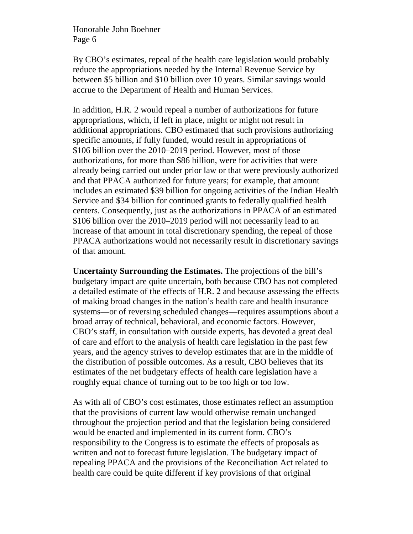By CBO's estimates, repeal of the health care legislation would probably reduce the appropriations needed by the Internal Revenue Service by between \$5 billion and \$10 billion over 10 years. Similar savings would accrue to the Department of Health and Human Services.

In addition, H.R. 2 would repeal a number of authorizations for future appropriations, which, if left in place, might or might not result in additional appropriations. CBO estimated that such provisions authorizing specific amounts, if fully funded, would result in appropriations of \$106 billion over the 2010–2019 period. However, most of those authorizations, for more than \$86 billion, were for activities that were already being carried out under prior law or that were previously authorized and that PPACA authorized for future years; for example, that amount includes an estimated \$39 billion for ongoing activities of the Indian Health Service and \$34 billion for continued grants to federally qualified health centers. Consequently, just as the authorizations in PPACA of an estimated \$106 billion over the 2010–2019 period will not necessarily lead to an increase of that amount in total discretionary spending, the repeal of those PPACA authorizations would not necessarily result in discretionary savings of that amount.

**Uncertainty Surrounding the Estimates.** The projections of the bill's budgetary impact are quite uncertain, both because CBO has not completed a detailed estimate of the effects of H.R. 2 and because assessing the effects of making broad changes in the nation's health care and health insurance systems—or of reversing scheduled changes—requires assumptions about a broad array of technical, behavioral, and economic factors. However, CBO's staff, in consultation with outside experts, has devoted a great deal of care and effort to the analysis of health care legislation in the past few years, and the agency strives to develop estimates that are in the middle of the distribution of possible outcomes. As a result, CBO believes that its estimates of the net budgetary effects of health care legislation have a roughly equal chance of turning out to be too high or too low.

As with all of CBO's cost estimates, those estimates reflect an assumption that the provisions of current law would otherwise remain unchanged throughout the projection period and that the legislation being considered would be enacted and implemented in its current form. CBO's responsibility to the Congress is to estimate the effects of proposals as written and not to forecast future legislation. The budgetary impact of repealing PPACA and the provisions of the Reconciliation Act related to health care could be quite different if key provisions of that original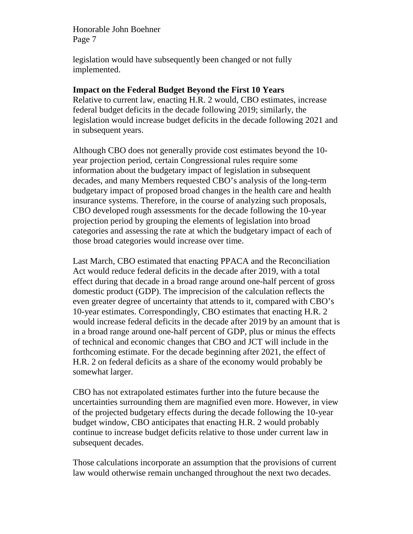legislation would have subsequently been changed or not fully implemented.

## **Impact on the Federal Budget Beyond the First 10 Years**

Relative to current law, enacting H.R. 2 would, CBO estimates, increase federal budget deficits in the decade following 2019; similarly, the legislation would increase budget deficits in the decade following 2021 and in subsequent years.

Although CBO does not generally provide cost estimates beyond the 10 year projection period, certain Congressional rules require some information about the budgetary impact of legislation in subsequent decades, and many Members requested CBO's analysis of the long-term budgetary impact of proposed broad changes in the health care and health insurance systems. Therefore, in the course of analyzing such proposals, CBO developed rough assessments for the decade following the 10-year projection period by grouping the elements of legislation into broad categories and assessing the rate at which the budgetary impact of each of those broad categories would increase over time.

Last March, CBO estimated that enacting PPACA and the Reconciliation Act would reduce federal deficits in the decade after 2019, with a total effect during that decade in a broad range around one-half percent of gross domestic product (GDP). The imprecision of the calculation reflects the even greater degree of uncertainty that attends to it, compared with CBO's 10-year estimates. Correspondingly, CBO estimates that enacting H.R. 2 would increase federal deficits in the decade after 2019 by an amount that is in a broad range around one-half percent of GDP, plus or minus the effects of technical and economic changes that CBO and JCT will include in the forthcoming estimate. For the decade beginning after 2021, the effect of H.R. 2 on federal deficits as a share of the economy would probably be somewhat larger.

CBO has not extrapolated estimates further into the future because the uncertainties surrounding them are magnified even more. However, in view of the projected budgetary effects during the decade following the 10-year budget window, CBO anticipates that enacting H.R. 2 would probably continue to increase budget deficits relative to those under current law in subsequent decades.

Those calculations incorporate an assumption that the provisions of current law would otherwise remain unchanged throughout the next two decades.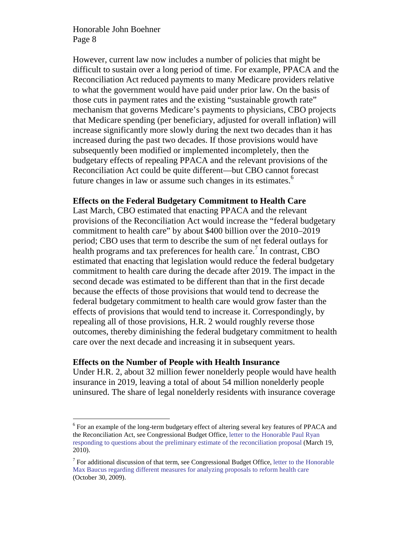However, current law now includes a number of policies that might be difficult to sustain over a long period of time. For example, PPACA and the Reconciliation Act reduced payments to many Medicare providers relative to what the government would have paid under prior law. On the basis of those cuts in payment rates and the existing "sustainable growth rate" mechanism that governs Medicare's payments to physicians, CBO projects that Medicare spending (per beneficiary, adjusted for overall inflation) will increase significantly more slowly during the next two decades than it has increased during the past two decades. If those provisions would have subsequently been modified or implemented incompletely, then the budgetary effects of repealing PPACA and the relevant provisions of the Reconciliation Act could be quite different—but CBO cannot forecast future changes in law or assume such changes in its estimates.<sup>6</sup>

#### **Effects on the Federal Budgetary Commitment to Health Care**

Last March, CBO estimated that enacting PPACA and the relevant provisions of the Reconciliation Act would increase the "federal budgetary commitment to health care" by about \$400 billion over the 2010–2019 period; CBO uses that term to describe the sum of net federal outlays for health programs and tax preferences for health care.<sup>7</sup> In contrast, CBO estimated that enacting that legislation would reduce the federal budgetary commitment to health care during the decade after 2019. The impact in the second decade was estimated to be different than that in the first decade because the effects of those provisions that would tend to decrease the federal budgetary commitment to health care would grow faster than the effects of provisions that would tend to increase it. Correspondingly, by repealing all of those provisions, H.R. 2 would roughly reverse those outcomes, thereby diminishing the federal budgetary commitment to health care over the next decade and increasing it in subsequent years.

## **Effects on the Number of People with Health Insurance**

-

Under H.R. 2, about 32 million fewer nonelderly people would have health insurance in 2019, leaving a total of about 54 million nonelderly people uninsured. The share of legal nonelderly residents with insurance coverage

<sup>&</sup>lt;sup>6</sup> For an example of the long-term budgetary effect of altering several key features of PPACA and the Reconciliation Act, see Congressional Budget Office, letter to the Honorable Paul Ryan responding to questions about the preliminary estimate of the reconciliation proposal (March 19, 2010).

 $7$  For additional discussion of that term, see Congressional Budget Office, letter to the Honorable Max Baucus regarding different measures for analyzing proposals to reform health care (October 30, 2009).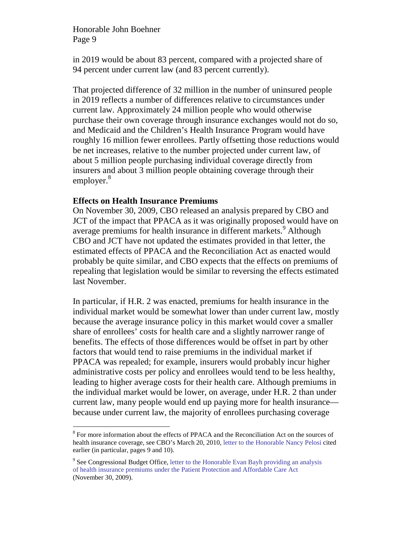in 2019 would be about 83 percent, compared with a projected share of 94 percent under current law (and 83 percent currently).

That projected difference of 32 million in the number of uninsured people in 2019 reflects a number of differences relative to circumstances under current law. Approximately 24 million people who would otherwise purchase their own coverage through insurance exchanges would not do so, and Medicaid and the Children's Health Insurance Program would have roughly 16 million fewer enrollees. Partly offsetting those reductions would be net increases, relative to the number projected under current law, of about 5 million people purchasing individual coverage directly from insurers and about 3 million people obtaining coverage through their employer.<sup>8</sup>

## **Effects on Health Insurance Premiums**

-

On November 30, 2009, CBO released an analysis prepared by CBO and JCT of the impact that PPACA as it was originally proposed would have on average premiums for health insurance in different markets.<sup>9</sup> Although CBO and JCT have not updated the estimates provided in that letter, the estimated effects of PPACA and the Reconciliation Act as enacted would probably be quite similar, and CBO expects that the effects on premiums of repealing that legislation would be similar to reversing the effects estimated last November.

In particular, if H.R. 2 was enacted, premiums for health insurance in the individual market would be somewhat lower than under current law, mostly because the average insurance policy in this market would cover a smaller share of enrollees' costs for health care and a slightly narrower range of benefits. The effects of those differences would be offset in part by other factors that would tend to raise premiums in the individual market if PPACA was repealed; for example, insurers would probably incur higher administrative costs per policy and enrollees would tend to be less healthy, leading to higher average costs for their health care. Although premiums in the individual market would be lower, on average, under H.R. 2 than under current law, many people would end up paying more for health insurance because under current law, the majority of enrollees purchasing coverage

<sup>&</sup>lt;sup>8</sup> For more information about the effects of PPACA and the Reconciliation Act on the sources of health insurance coverage, see CBO's March 20, 2010, letter to the Honorable Nancy Pelosi cited earlier (in particular, pages 9 and 10).

<sup>&</sup>lt;sup>9</sup> See Congressional Budget Office, letter to the Honorable Evan Bayh providing an analysis of health insurance premiums under the Patient Protection and Affordable Care Act (November 30, 2009).